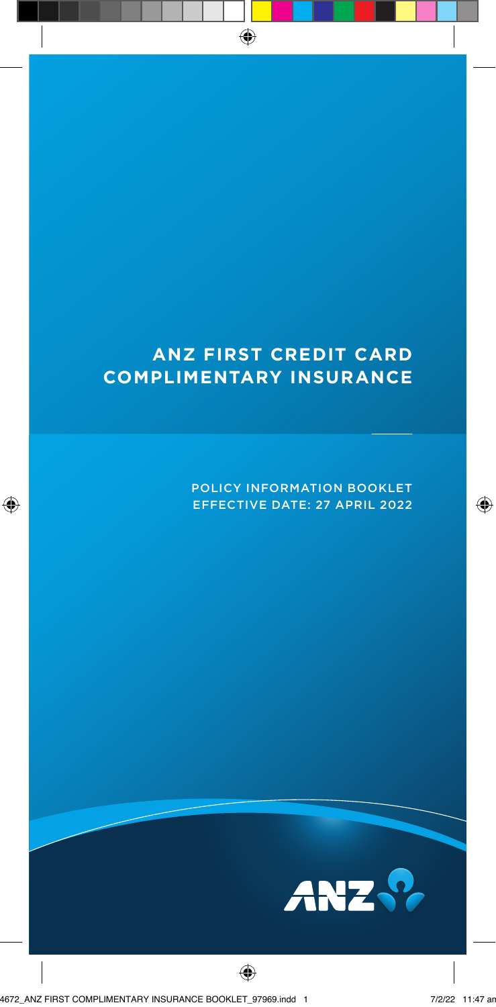# **ANZ FIRST CREDIT CARD COMPLIMENTARY INSURANCE**

POLICY INFORMATION BOOKLET EFFECTIVE DATE: 27 APRIL 2022

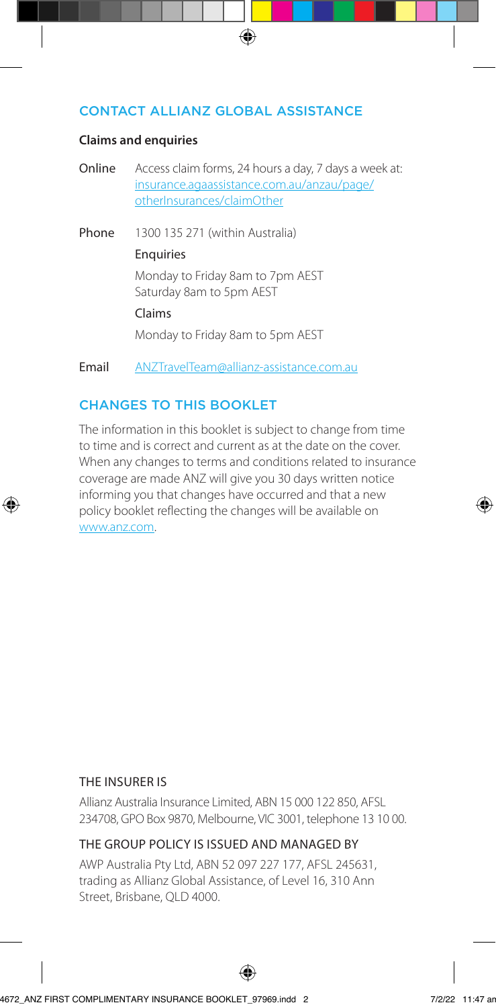#### CONTACT ALLIANZ GLOBAL ASSISTANCE

#### **Claims and enquiries**

Online Access claim forms, 24 hours a day, 7 days a week at: [insurance.agaassistance.com.au/anzau/page/](https://insurance.agaassistance.com.au/anzau/page/otherInsurances/claimOther) otherInsurances/claimOther

Phone 1300 135 271 (within Australia)

#### Enquiries

Monday to Friday 8am to 7pm AEST Saturday 8am to 5pm AEST

#### Claims

Monday to Friday 8am to 5pm AEST

Email ANZTravelTeam@allianz-assistance.com.au

## CHANGES TO THIS BOOKLET

The information in this booklet is subject to change from time to time and is correct and current as at the date on the cover. When any changes to terms and conditions related to insurance coverage are made ANZ will give you 30 days written notice informing you that changes have occurred and that a new policy booklet reflecting the changes will be available on www.anz.com.

#### THE INSURER IS

Allianz Australia Insurance Limited, ABN 15 000 122 850, AFSL 234708, GPO Box 9870, Melbourne, VIC 3001, telephone 13 10 00.

#### THE GROUP POLICY IS ISSUED AND MANAGED BY

AWP Australia Pty Ltd, ABN 52 097 227 177, AFSL 245631, trading as Allianz Global Assistance, of Level 16, 310 Ann Street, Brisbane, QLD 4000.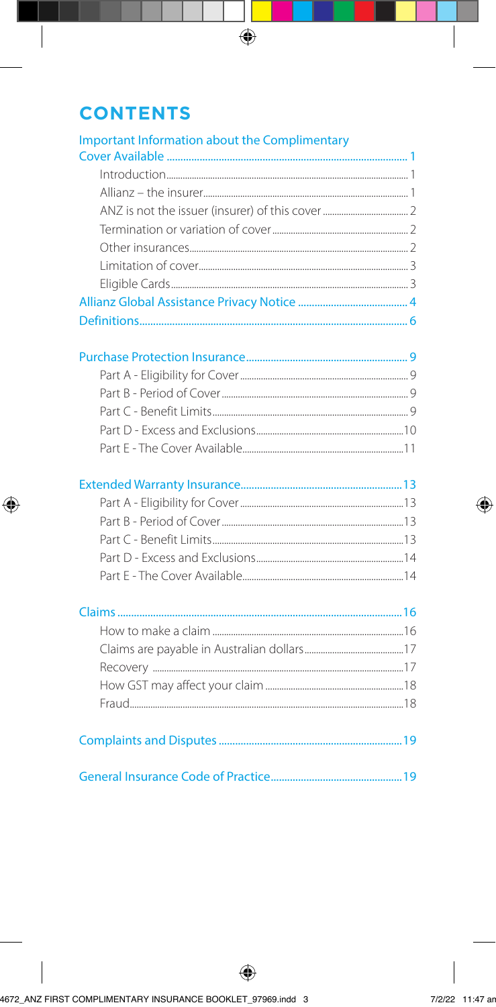# **CONTENTS**

| <b>Important Information about the Complimentary</b> |
|------------------------------------------------------|
|                                                      |
|                                                      |
|                                                      |
|                                                      |
|                                                      |
|                                                      |
|                                                      |
|                                                      |
|                                                      |
|                                                      |
|                                                      |
|                                                      |
|                                                      |
|                                                      |
|                                                      |
|                                                      |
|                                                      |
|                                                      |
|                                                      |
|                                                      |
|                                                      |
|                                                      |
|                                                      |
|                                                      |
|                                                      |
|                                                      |
|                                                      |
|                                                      |
|                                                      |
|                                                      |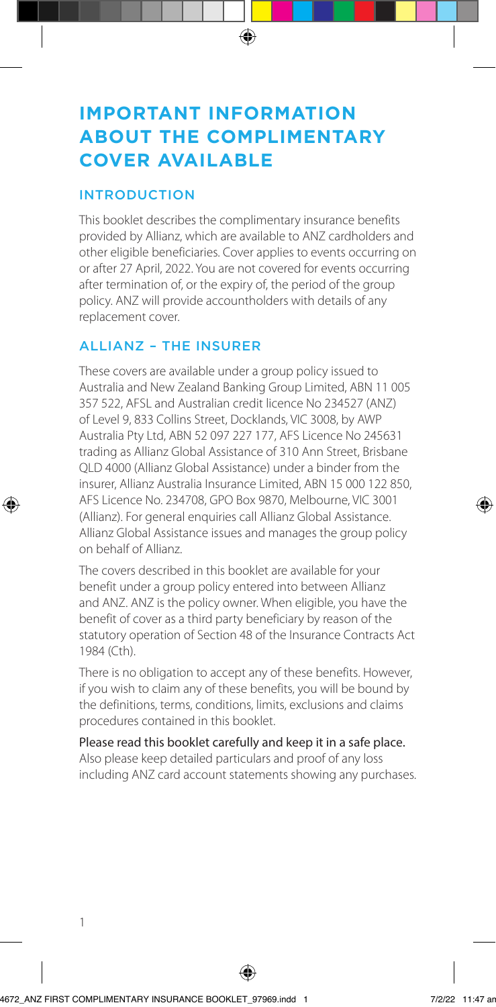# **IMPORTANT INFORMATION ABOUT THE COMPLIMENTARY COVER AVAILABLE**

#### INTRODUCTION

This booklet describes the complimentary insurance benefits provided by Allianz, which are available to ANZ cardholders and other eligible beneficiaries. Cover applies to events occurring on or after 27 April, 2022. You are not covered for events occurring after termination of, or the expiry of, the period of the group policy. ANZ will provide accountholders with details of any replacement cover.

## ALLIANZ – THE INSURER

These covers are available under a group policy issued to Australia and New Zealand Banking Group Limited, ABN 11 005 357 522, AFSL and Australian credit licence No 234527 (ANZ) of Level 9, 833 Collins Street, Docklands, VIC 3008, by AWP Australia Pty Ltd, ABN 52 097 227 177, AFS Licence No 245631 trading as Allianz Global Assistance of 310 Ann Street, Brisbane QLD 4000 (Allianz Global Assistance) under a binder from the insurer, Allianz Australia Insurance Limited, ABN 15 000 122 850, AFS Licence No. 234708, GPO Box 9870, Melbourne, VIC 3001 (Allianz). For general enquiries call Allianz Global Assistance. Allianz Global Assistance issues and manages the group policy on behalf of Allianz.

The covers described in this booklet are available for your benefit under a group policy entered into between Allianz and ANZ. ANZ is the policy owner. When eligible, you have the benefit of cover as a third party beneficiary by reason of the statutory operation of Section 48 of the Insurance Contracts Act 1984 (Cth).

There is no obligation to accept any of these benefits. However, if you wish to claim any of these benefits, you will be bound by the definitions, terms, conditions, limits, exclusions and claims procedures contained in this booklet.

Please read this booklet carefully and keep it in a safe place. Also please keep detailed particulars and proof of any loss including ANZ card account statements showing any purchases.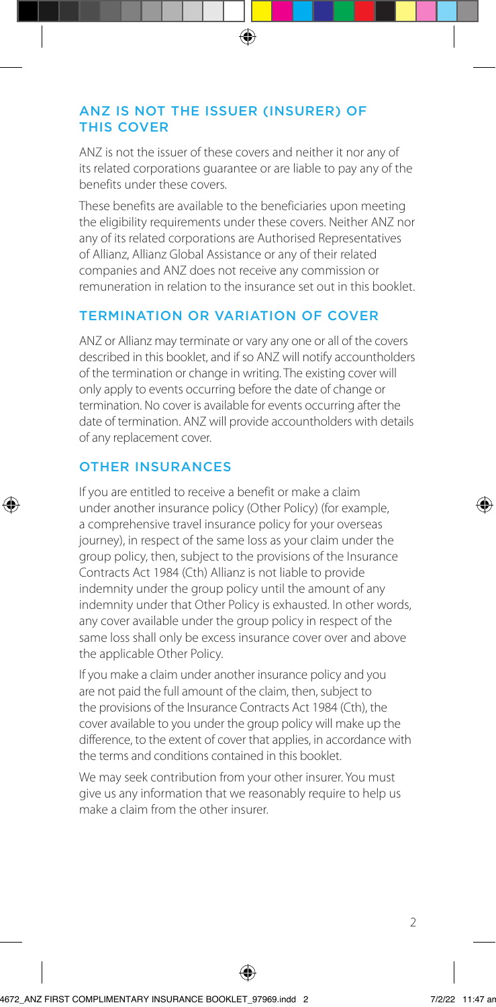#### ANZ IS NOT THE ISSUER (INSURER) OF THIS COVER

ANZ is not the issuer of these covers and neither it nor any of its related corporations guarantee or are liable to pay any of the benefits under these covers.

These benefits are available to the beneficiaries upon meeting the eligibility requirements under these covers. Neither ANZ nor any of its related corporations are Authorised Representatives of Allianz, Allianz Global Assistance or any of their related companies and ANZ does not receive any commission or remuneration in relation to the insurance set out in this booklet.

## TERMINATION OR VARIATION OF COVER

ANZ or Allianz may terminate or vary any one or all of the covers described in this booklet, and if so ANZ will notify accountholders of the termination or change in writing. The existing cover will only apply to events occurring before the date of change or termination. No cover is available for events occurring after the date of termination. ANZ will provide accountholders with details of any replacement cover.

## OTHER INSURANCES

If you are entitled to receive a benefit or make a claim under another insurance policy (Other Policy) (for example, a comprehensive travel insurance policy for your overseas journey), in respect of the same loss as your claim under the group policy, then, subject to the provisions of the Insurance Contracts Act 1984 (Cth) Allianz is not liable to provide indemnity under the group policy until the amount of any indemnity under that Other Policy is exhausted. In other words, any cover available under the group policy in respect of the same loss shall only be excess insurance cover over and above the applicable Other Policy.

If you make a claim under another insurance policy and you are not paid the full amount of the claim, then, subject to the provisions of the Insurance Contracts Act 1984 (Cth), the cover available to you under the group policy will make up the difference, to the extent of cover that applies, in accordance with the terms and conditions contained in this booklet.

We may seek contribution from your other insurer. You must give us any information that we reasonably require to help us make a claim from the other insurer.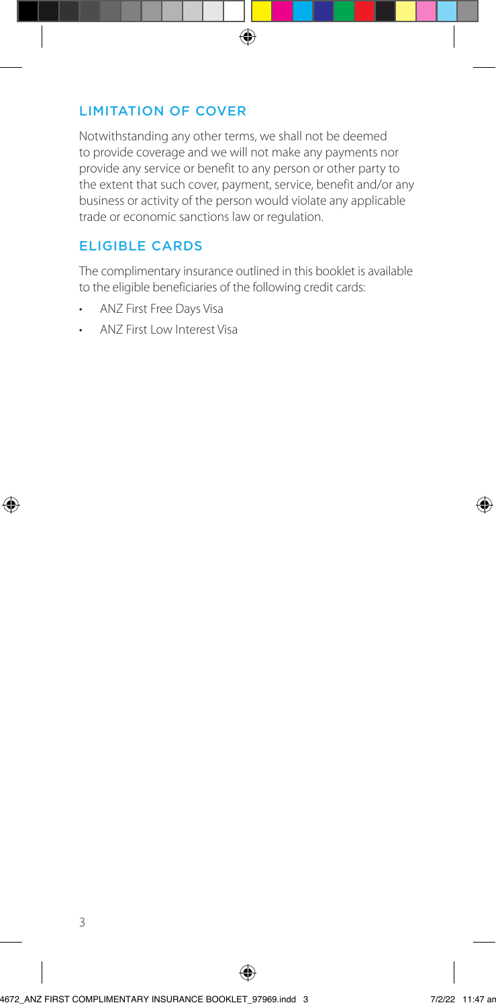### LIMITATION OF COVER

Notwithstanding any other terms, we shall not be deemed to provide coverage and we will not make any payments nor provide any service or benefit to any person or other party to the extent that such cover, payment, service, benefit and/or any business or activity of the person would violate any applicable trade or economic sanctions law or regulation.

## ELIGIBLE CARDS

The complimentary insurance outlined in this booklet is available to the eligible beneficiaries of the following credit cards:

- ANZ First Free Days Visa
- ANZ First Low Interest Visa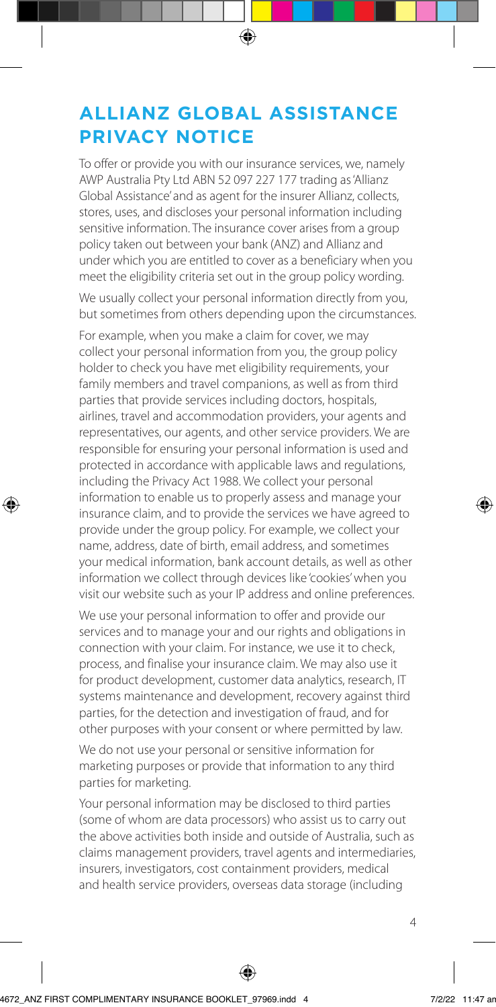# **ALLIANZ GLOBAL ASSISTANCE PRIVACY NOTICE**

To offer or provide you with our insurance services, we, namely AWP Australia Pty Ltd ABN 52 097 227 177 trading as 'Allianz Global Assistance' and as agent for the insurer Allianz, collects, stores, uses, and discloses your personal information including sensitive information. The insurance cover arises from a group policy taken out between your bank (ANZ) and Allianz and under which you are entitled to cover as a beneficiary when you meet the eligibility criteria set out in the group policy wording.

We usually collect your personal information directly from you, but sometimes from others depending upon the circumstances.

For example, when you make a claim for cover, we may collect your personal information from you, the group policy holder to check you have met eligibility requirements, your family members and travel companions, as well as from third parties that provide services including doctors, hospitals, airlines, travel and accommodation providers, your agents and representatives, our agents, and other service providers. We are responsible for ensuring your personal information is used and protected in accordance with applicable laws and regulations, including the Privacy Act 1988. We collect your personal information to enable us to properly assess and manage your insurance claim, and to provide the services we have agreed to provide under the group policy. For example, we collect your name, address, date of birth, email address, and sometimes your medical information, bank account details, as well as other information we collect through devices like 'cookies' when you visit our website such as your IP address and online preferences.

We use your personal information to offer and provide our services and to manage your and our rights and obligations in connection with your claim. For instance, we use it to check, process, and finalise your insurance claim. We may also use it for product development, customer data analytics, research, IT systems maintenance and development, recovery against third parties, for the detection and investigation of fraud, and for other purposes with your consent or where permitted by law.

We do not use your personal or sensitive information for marketing purposes or provide that information to any third parties for marketing.

Your personal information may be disclosed to third parties (some of whom are data processors) who assist us to carry out the above activities both inside and outside of Australia, such as claims management providers, travel agents and intermediaries, insurers, investigators, cost containment providers, medical and health service providers, overseas data storage (including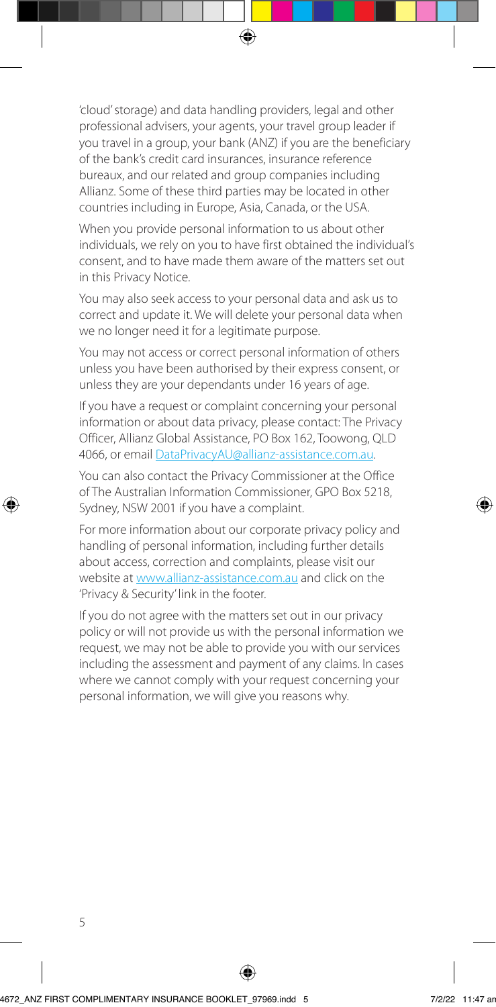'cloud' storage) and data handling providers, legal and other professional advisers, your agents, your travel group leader if you travel in a group, your bank (ANZ) if you are the beneficiary of the bank's credit card insurances, insurance reference bureaux, and our related and group companies including Allianz. Some of these third parties may be located in other countries including in Europe, Asia, Canada, or the USA.

When you provide personal information to us about other individuals, we rely on you to have first obtained the individual's consent, and to have made them aware of the matters set out in this Privacy Notice.

You may also seek access to your personal data and ask us to correct and update it. We will delete your personal data when we no longer need it for a legitimate purpose.

You may not access or correct personal information of others unless you have been authorised by their express consent, or unless they are your dependants under 16 years of age.

If you have a request or complaint concerning your personal information or about data privacy, please contact: The Privacy Officer, Allianz Global Assistance, PO Box 162, Toowong, QLD 4066, or email DataPrivacyAU@allianz-assistance.com.au.

You can also contact the Privacy Commissioner at the Office of The Australian Information Commissioner, GPO Box 5218, Sydney, NSW 2001 if you have a complaint.

For more information about our corporate privacy policy and handling of personal information, including further details about access, correction and complaints, please visit our website at [www.allianz-assistance.com.au](http://www.allianz-assistance.com.au) and click on the 'Privacy & Security' link in the footer.

If you do not agree with the matters set out in our privacy policy or will not provide us with the personal information we request, we may not be able to provide you with our services including the assessment and payment of any claims. In cases where we cannot comply with your request concerning your personal information, we will give you reasons why.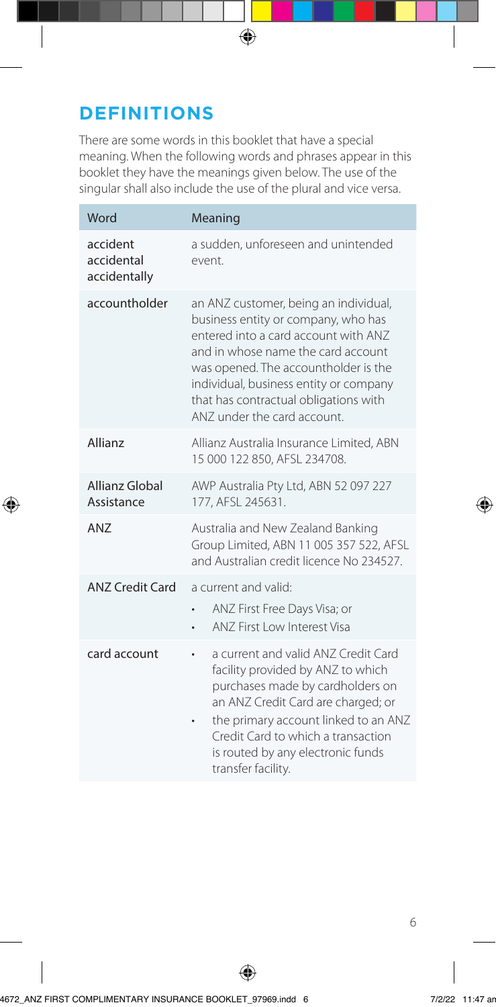# **DEFINITIONS**

There are some words in this booklet that have a special meaning. When the following words and phrases appear in this booklet they have the meanings given below. The use of the singular shall also include the use of the plural and vice versa.

| Word                                   | Meaning                                                                                                                                                                                                                                                                                                              |
|----------------------------------------|----------------------------------------------------------------------------------------------------------------------------------------------------------------------------------------------------------------------------------------------------------------------------------------------------------------------|
| accident<br>accidental<br>accidentally | a sudden, unforeseen and unintended<br>event.                                                                                                                                                                                                                                                                        |
| accountholder                          | an ANZ customer, being an individual,<br>business entity or company, who has<br>entered into a card account with ANZ<br>and in whose name the card account<br>was opened. The accountholder is the<br>individual, business entity or company<br>that has contractual obligations with<br>ANZ under the card account. |
| Allianz                                | Allianz Australia Insurance Limited, ABN<br>15 000 122 850, AFSL 234708.                                                                                                                                                                                                                                             |
| <b>Allianz Global</b><br>Assistance    | AWP Australia Pty Ltd, ABN 52 097 227<br>177, AFSL 245631.                                                                                                                                                                                                                                                           |
| AN7                                    | Australia and New Zealand Banking<br>Group Limited, ABN 11 005 357 522, AFSL<br>and Australian credit licence No 234527.                                                                                                                                                                                             |
| <b>ANZ Credit Card</b>                 | a current and valid:<br>ANZ First Free Days Visa; or<br>ANZ First Low Interest Visa                                                                                                                                                                                                                                  |
| card account                           | a current and valid ANZ Credit Card<br>facility provided by ANZ to which<br>purchases made by cardholders on<br>an ANZ Credit Card are charged; or<br>the primary account linked to an ANZ<br>Credit Card to which a transaction<br>is routed by any electronic funds<br>transfer facility.                          |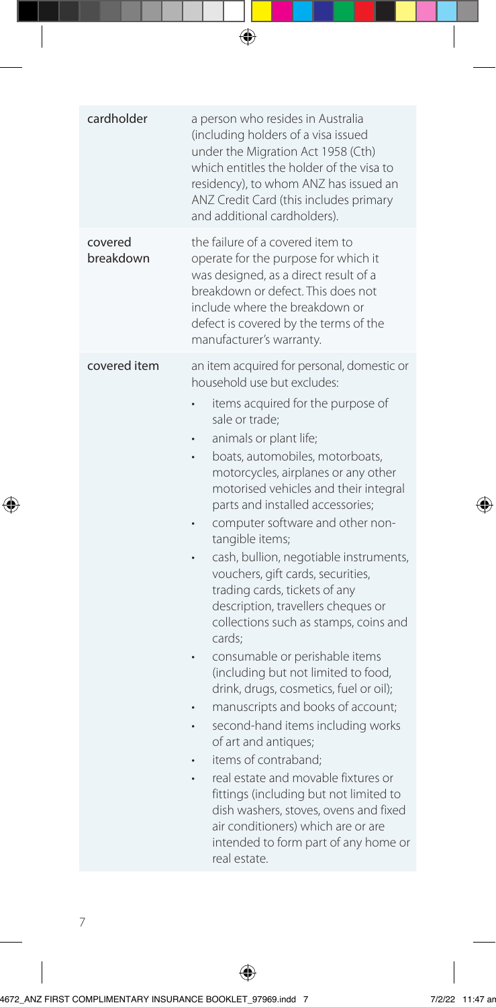| cardholder           | a person who resides in Australia<br>(including holders of a visa issued<br>under the Migration Act 1958 (Cth)<br>which entitles the holder of the visa to<br>residency), to whom ANZ has issued an<br>ANZ Credit Card (this includes primary<br>and additional cardholders).                                                                                                                                                                                                                                                                                                                                                                                                                                                                                                                                                                                                                                                                                                                                                                          |
|----------------------|--------------------------------------------------------------------------------------------------------------------------------------------------------------------------------------------------------------------------------------------------------------------------------------------------------------------------------------------------------------------------------------------------------------------------------------------------------------------------------------------------------------------------------------------------------------------------------------------------------------------------------------------------------------------------------------------------------------------------------------------------------------------------------------------------------------------------------------------------------------------------------------------------------------------------------------------------------------------------------------------------------------------------------------------------------|
| covered<br>breakdown | the failure of a covered item to<br>operate for the purpose for which it<br>was designed, as a direct result of a<br>breakdown or defect. This does not<br>include where the breakdown or<br>defect is covered by the terms of the<br>manufacturer's warranty.                                                                                                                                                                                                                                                                                                                                                                                                                                                                                                                                                                                                                                                                                                                                                                                         |
| covered item         | an item acquired for personal, domestic or<br>household use but excludes:<br>items acquired for the purpose of<br>sale or trade;<br>animals or plant life;<br>boats, automobiles, motorboats,<br>motorcycles, airplanes or any other<br>motorised vehicles and their integral<br>parts and installed accessories;<br>computer software and other non-<br>tangible items;<br>cash, bullion, negotiable instruments,<br>vouchers, gift cards, securities,<br>trading cards, tickets of any<br>description, travellers cheques or<br>collections such as stamps, coins and<br>cards:<br>consumable or perishable items<br>(including but not limited to food,<br>drink, drugs, cosmetics, fuel or oil);<br>manuscripts and books of account;<br>second-hand items including works<br>of art and antiques;<br>items of contraband;<br>real estate and movable fixtures or<br>fittings (including but not limited to<br>dish washers, stoves, ovens and fixed<br>air conditioners) which are or are<br>intended to form part of any home or<br>real estate. |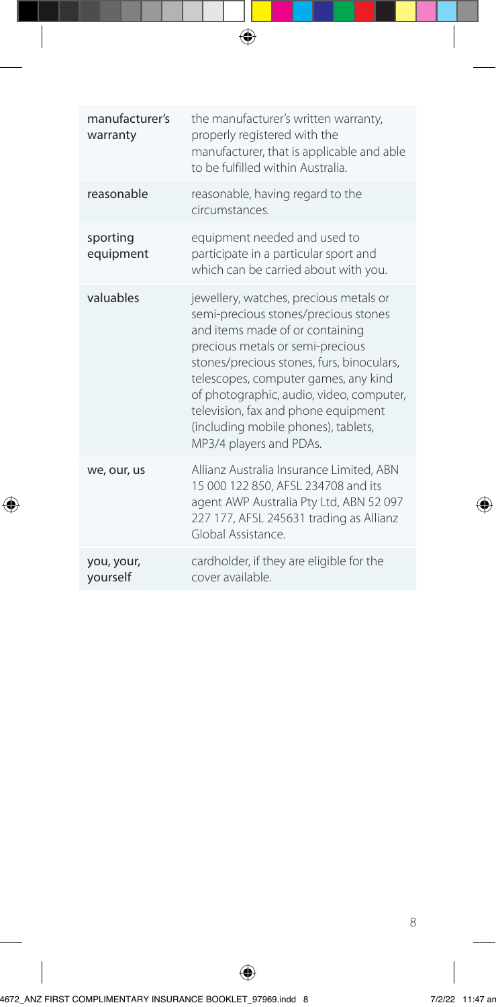| manufacturer's<br>warranty | the manufacturer's written warranty,<br>properly registered with the<br>manufacturer, that is applicable and able<br>to be fulfilled within Australia.                                                                                                                                                                                                                                          |
|----------------------------|-------------------------------------------------------------------------------------------------------------------------------------------------------------------------------------------------------------------------------------------------------------------------------------------------------------------------------------------------------------------------------------------------|
| reasonable                 | reasonable, having regard to the<br>circumstances.                                                                                                                                                                                                                                                                                                                                              |
| sporting<br>equipment      | equipment needed and used to<br>participate in a particular sport and<br>which can be carried about with you.                                                                                                                                                                                                                                                                                   |
| valuables                  | jewellery, watches, precious metals or<br>semi-precious stones/precious stones<br>and items made of or containing<br>precious metals or semi-precious<br>stones/precious stones, furs, binoculars,<br>telescopes, computer games, any kind<br>of photographic, audio, video, computer,<br>television, fax and phone equipment<br>(including mobile phones), tablets,<br>MP3/4 players and PDAs. |
| we, our, us                | Allianz Australia Insurance Limited, ABN<br>15 000 122 850, AFSL 234708 and its<br>agent AWP Australia Pty Ltd, ABN 52 097<br>227 177, AFSL 245631 trading as Allianz<br>Global Assistance.                                                                                                                                                                                                     |
| you, your,<br>yourself     | cardholder, if they are eligible for the<br>cover available.                                                                                                                                                                                                                                                                                                                                    |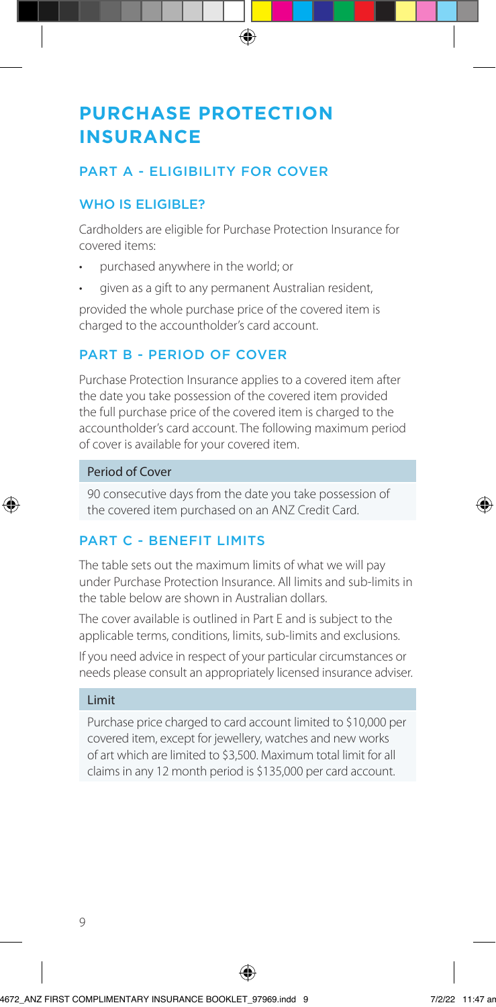# **PURCHASE PROTECTION INSURANCE**

## PART A - ELIGIBILITY FOR COVER

## WHO IS ELIGIBLE?

Cardholders are eligible for Purchase Protection Insurance for covered items:

- purchased anywhere in the world; or
- given as a gift to any permanent Australian resident,

provided the whole purchase price of the covered item is charged to the accountholder's card account.

# PART B - PERIOD OF COVER

Purchase Protection Insurance applies to a covered item after the date you take possession of the covered item provided the full purchase price of the covered item is charged to the accountholder's card account. The following maximum period of cover is available for your covered item.

#### Period of Cover

90 consecutive days from the date you take possession of the covered item purchased on an ANZ Credit Card.

## PART C - BENEFIT LIMITS

The table sets out the maximum limits of what we will pay under Purchase Protection Insurance. All limits and sub-limits in the table below are shown in Australian dollars.

The cover available is outlined in Part E and is subject to the applicable terms, conditions, limits, sub-limits and exclusions.

If you need advice in respect of your particular circumstances or needs please consult an appropriately licensed insurance adviser.

#### Limit

Purchase price charged to card account limited to \$10,000 per covered item, except for jewellery, watches and new works of art which are limited to \$3,500. Maximum total limit for all claims in any 12 month period is \$135,000 per card account.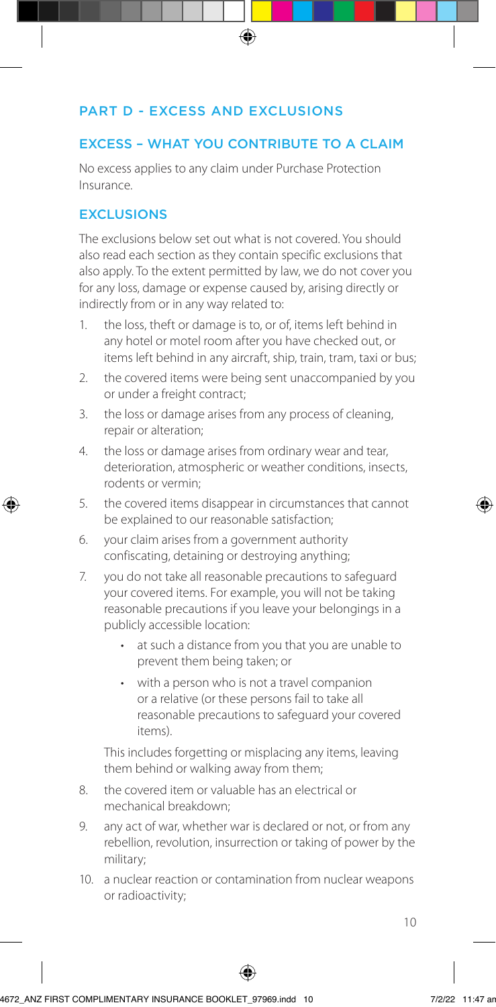### PART D - EXCESS AND EXCLUSIONS

#### EXCESS – WHAT YOU CONTRIBUTE TO A CLAIM

No excess applies to any claim under Purchase Protection Insurance.

### **EXCLUSIONS**

The exclusions below set out what is not covered. You should also read each section as they contain specific exclusions that also apply. To the extent permitted by law, we do not cover you for any loss, damage or expense caused by, arising directly or indirectly from or in any way related to:

- 1. the loss, theft or damage is to, or of, items left behind in any hotel or motel room after you have checked out, or items left behind in any aircraft, ship, train, tram, taxi or bus;
- 2. the covered items were being sent unaccompanied by you or under a freight contract;
- 3. the loss or damage arises from any process of cleaning, repair or alteration;
- 4. the loss or damage arises from ordinary wear and tear, deterioration, atmospheric or weather conditions, insects, rodents or vermin;
- 5. the covered items disappear in circumstances that cannot be explained to our reasonable satisfaction;
- 6. your claim arises from a government authority confiscating, detaining or destroying anything;
- 7. you do not take all reasonable precautions to safeguard your covered items. For example, you will not be taking reasonable precautions if you leave your belongings in a publicly accessible location:
	- at such a distance from you that you are unable to prevent them being taken; or
	- with a person who is not a travel companion or a relative (or these persons fail to take all reasonable precautions to safeguard your covered items).

This includes forgetting or misplacing any items, leaving them behind or walking away from them;

- 8. the covered item or valuable has an electrical or mechanical breakdown;
- 9. any act of war, whether war is declared or not, or from any rebellion, revolution, insurrection or taking of power by the military;
- 10. a nuclear reaction or contamination from nuclear weapons or radioactivity;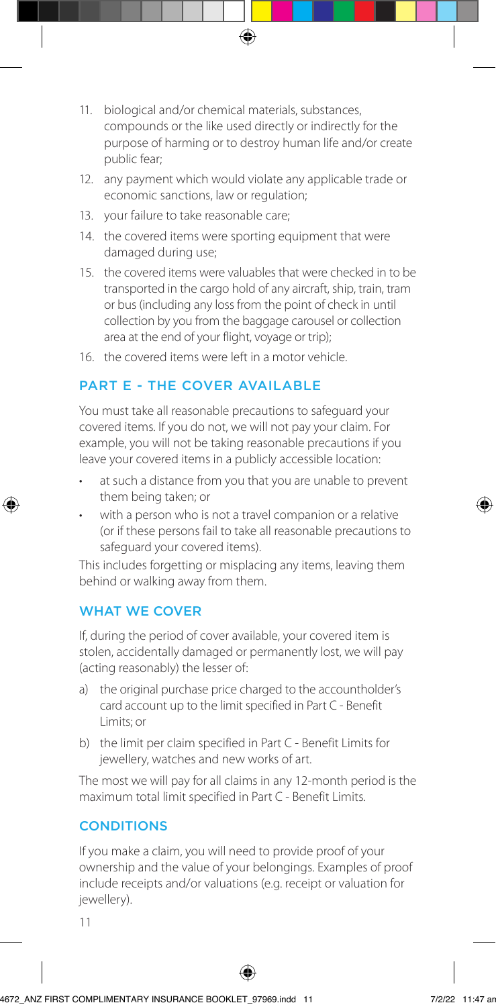- 11. biological and/or chemical materials, substances, compounds or the like used directly or indirectly for the purpose of harming or to destroy human life and/or create public fear;
- 12. any payment which would violate any applicable trade or economic sanctions, law or regulation;
- 13. your failure to take reasonable care;
- 14. the covered items were sporting equipment that were damaged during use;
- 15. the covered items were valuables that were checked in to be transported in the cargo hold of any aircraft, ship, train, tram or bus (including any loss from the point of check in until collection by you from the baggage carousel or collection area at the end of your flight, voyage or trip);
- 16. the covered items were left in a motor vehicle.

## PART E - THE COVER AVAILABLE

You must take all reasonable precautions to safeguard your covered items. If you do not, we will not pay your claim. For example, you will not be taking reasonable precautions if you leave your covered items in a publicly accessible location:

- at such a distance from you that you are unable to prevent them being taken; or
- with a person who is not a travel companion or a relative (or if these persons fail to take all reasonable precautions to safeguard your covered items).

This includes forgetting or misplacing any items, leaving them behind or walking away from them.

## WHAT WE COVER

If, during the period of cover available, your covered item is stolen, accidentally damaged or permanently lost, we will pay (acting reasonably) the lesser of:

- a) the original purchase price charged to the accountholder's card account up to the limit specified in Part C - Benefit Limits; or
- b) the limit per claim specified in Part C Benefit Limits for jewellery, watches and new works of art.

The most we will pay for all claims in any 12-month period is the maximum total limit specified in Part C - Benefit Limits.

## **CONDITIONS**

If you make a claim, you will need to provide proof of your ownership and the value of your belongings. Examples of proof include receipts and/or valuations (e.g. receipt or valuation for jewellery).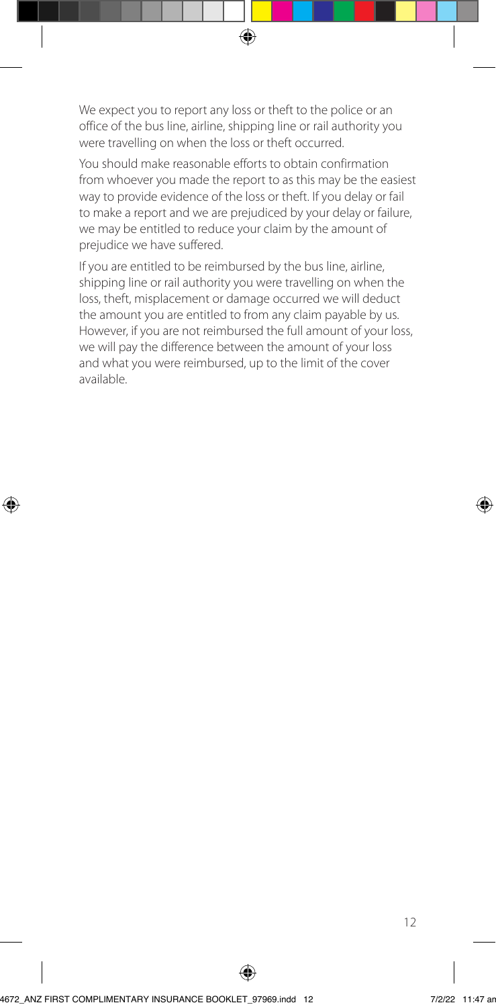We expect you to report any loss or theft to the police or an office of the bus line, airline, shipping line or rail authority you were travelling on when the loss or theft occurred.

You should make reasonable efforts to obtain confirmation from whoever you made the report to as this may be the easiest way to provide evidence of the loss or theft. If you delay or fail to make a report and we are prejudiced by your delay or failure, we may be entitled to reduce your claim by the amount of prejudice we have suffered.

If you are entitled to be reimbursed by the bus line, airline, shipping line or rail authority you were travelling on when the loss, theft, misplacement or damage occurred we will deduct the amount you are entitled to from any claim payable by us. However, if you are not reimbursed the full amount of your loss, we will pay the difference between the amount of your loss and what you were reimbursed, up to the limit of the cover available.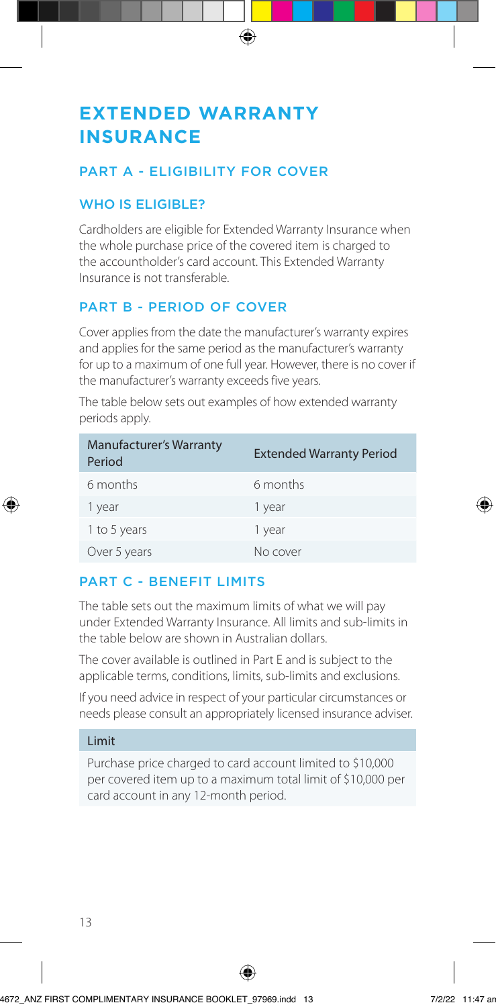# **EXTENDED WARRANTY INSURANCE**

## PART A - ELIGIBILITY FOR COVER

## WHO IS ELIGIBLE?

Cardholders are eligible for Extended Warranty Insurance when the whole purchase price of the covered item is charged to the accountholder's card account. This Extended Warranty Insurance is not transferable.

## PART B - PERIOD OF COVER

Cover applies from the date the manufacturer's warranty expires and applies for the same period as the manufacturer's warranty for up to a maximum of one full year. However, there is no cover if the manufacturer's warranty exceeds five years.

The table below sets out examples of how extended warranty periods apply.

| <b>Manufacturer's Warranty</b><br>Period | <b>Extended Warranty Period</b> |
|------------------------------------------|---------------------------------|
| 6 months                                 | 6 months                        |
| 1 year                                   | 1 year                          |
| 1 to 5 years                             | 1 year                          |
| Over 5 years                             | No cover                        |

# PART C - BENEFIT LIMITS

The table sets out the maximum limits of what we will pay under Extended Warranty Insurance. All limits and sub-limits in the table below are shown in Australian dollars.

The cover available is outlined in Part E and is subject to the applicable terms, conditions, limits, sub-limits and exclusions.

If you need advice in respect of your particular circumstances or needs please consult an appropriately licensed insurance adviser.

#### Limit

Purchase price charged to card account limited to \$10,000 per covered item up to a maximum total limit of \$10,000 per card account in any 12-month period.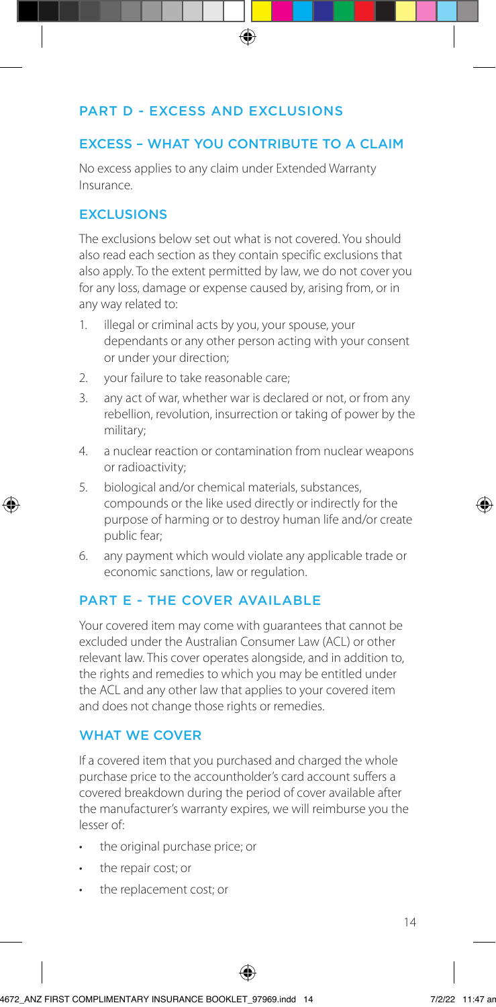### PART D - EXCESS AND EXCLUSIONS

#### EXCESS – WHAT YOU CONTRIBUTE TO A CLAIM

No excess applies to any claim under Extended Warranty Insurance.

### **EXCLUSIONS**

The exclusions below set out what is not covered. You should also read each section as they contain specific exclusions that also apply. To the extent permitted by law, we do not cover you for any loss, damage or expense caused by, arising from, or in any way related to:

- 1. illegal or criminal acts by you, your spouse, your dependants or any other person acting with your consent or under your direction;
- 2. your failure to take reasonable care;
- 3. any act of war, whether war is declared or not, or from any rebellion, revolution, insurrection or taking of power by the military;
- 4. a nuclear reaction or contamination from nuclear weapons or radioactivity;
- 5. biological and/or chemical materials, substances, compounds or the like used directly or indirectly for the purpose of harming or to destroy human life and/or create public fear;
- 6. any payment which would violate any applicable trade or economic sanctions, law or regulation.

#### PART F - THE COVER AVAILABLE

Your covered item may come with guarantees that cannot be excluded under the Australian Consumer Law (ACL) or other relevant law. This cover operates alongside, and in addition to, the rights and remedies to which you may be entitled under the ACL and any other law that applies to your covered item and does not change those rights or remedies.

#### WHAT WE COVER

If a covered item that you purchased and charged the whole purchase price to the accountholder's card account suffers a covered breakdown during the period of cover available after the manufacturer's warranty expires, we will reimburse you the lesser of:

- the original purchase price; or
- the repair cost; or
- the replacement cost; or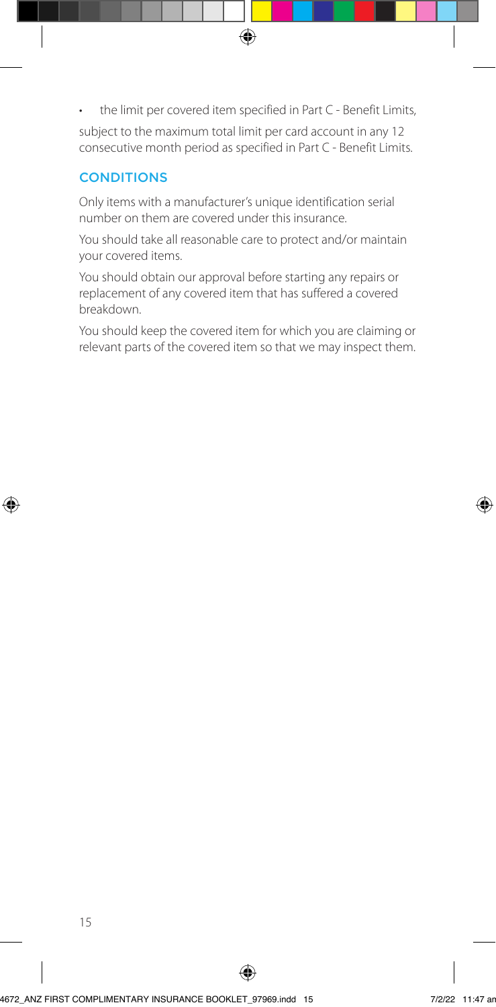the limit per covered item specified in Part C - Benefit Limits,

subject to the maximum total limit per card account in any 12 consecutive month period as specified in Part C - Benefit Limits.

## **CONDITIONS**

Only items with a manufacturer's unique identification serial number on them are covered under this insurance.

You should take all reasonable care to protect and/or maintain your covered items.

You should obtain our approval before starting any repairs or replacement of any covered item that has suffered a covered breakdown.

You should keep the covered item for which you are claiming or relevant parts of the covered item so that we may inspect them.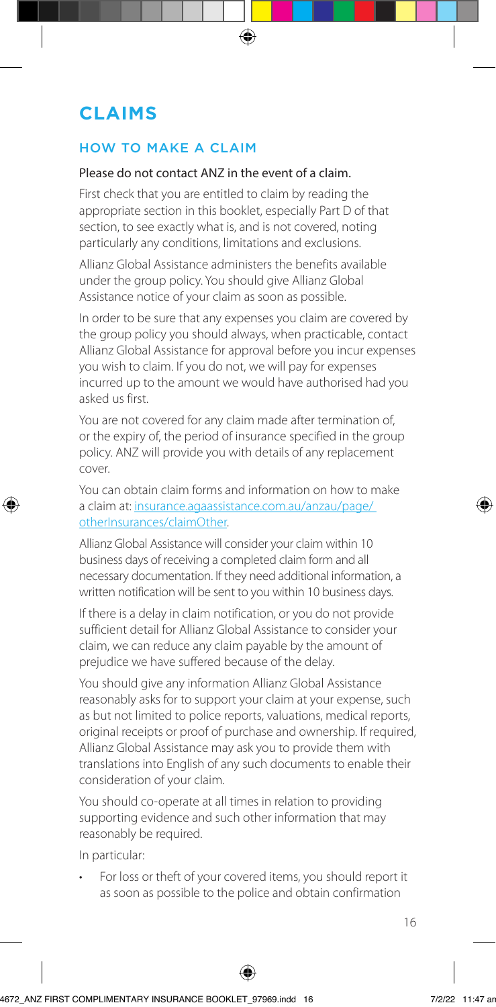# **CLAIMS**

## HOW TO MAKE A CLAIM

#### Please do not contact ANZ in the event of a claim.

First check that you are entitled to claim by reading the appropriate section in this booklet, especially Part D of that section, to see exactly what is, and is not covered, noting particularly any conditions, limitations and exclusions.

Allianz Global Assistance administers the benefits available under the group policy. You should give Allianz Global Assistance notice of your claim as soon as possible.

In order to be sure that any expenses you claim are covered by the group policy you should always, when practicable, contact Allianz Global Assistance for approval before you incur expenses you wish to claim. If you do not, we will pay for expenses incurred up to the amount we would have authorised had you asked us first.

You are not covered for any claim made after termination of, or the expiry of, the period of insurance specified in the group policy. ANZ will provide you with details of any replacement cover.

You can obtain claim forms and information on how to make [a claim at: insurance.agaassistance.com.au/anzau/page/](https://insurance.agaassistance.com.au/anzau/page/otherInsurances/claimOther)  otherInsurances/claimOther.

Allianz Global Assistance will consider your claim within 10 business days of receiving a completed claim form and all necessary documentation. If they need additional information, a written notification will be sent to you within 10 business days.

If there is a delay in claim notification, or you do not provide sufficient detail for Allianz Global Assistance to consider your claim, we can reduce any claim payable by the amount of prejudice we have suffered because of the delay.

You should give any information Allianz Global Assistance reasonably asks for to support your claim at your expense, such as but not limited to police reports, valuations, medical reports, original receipts or proof of purchase and ownership. If required, Allianz Global Assistance may ask you to provide them with translations into English of any such documents to enable their consideration of your claim.

You should co-operate at all times in relation to providing supporting evidence and such other information that may reasonably be required.

In particular:

• For loss or theft of your covered items, you should report it as soon as possible to the police and obtain confirmation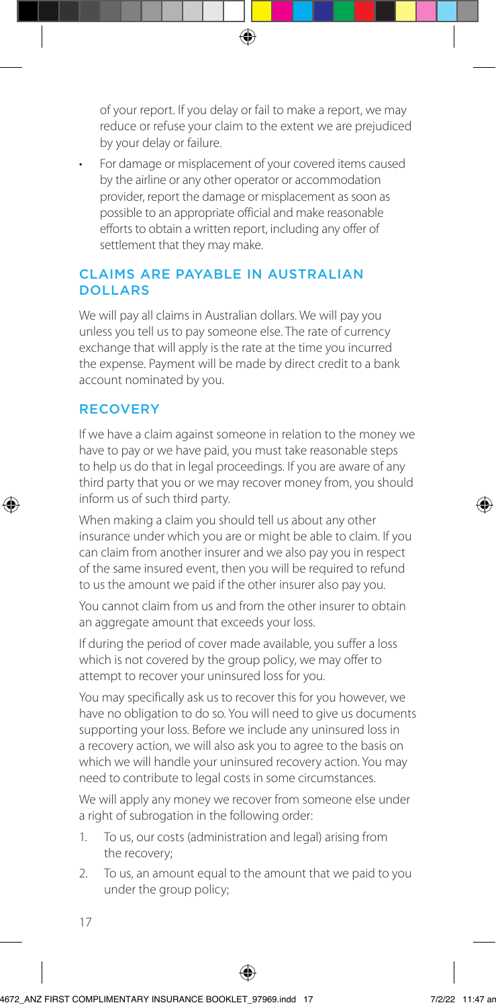of your report. If you delay or fail to make a report, we may reduce or refuse your claim to the extent we are prejudiced by your delay or failure.

• For damage or misplacement of your covered items caused by the airline or any other operator or accommodation provider, report the damage or misplacement as soon as possible to an appropriate official and make reasonable efforts to obtain a written report, including any offer of settlement that they may make.

### CLAIMS ARE PAYABLE IN AUSTRALIAN **DOLLARS**

We will pay all claims in Australian dollars. We will pay you unless you tell us to pay someone else. The rate of currency exchange that will apply is the rate at the time you incurred the expense. Payment will be made by direct credit to a bank account nominated by you.

## RECOVERY

If we have a claim against someone in relation to the money we have to pay or we have paid, you must take reasonable steps to help us do that in legal proceedings. If you are aware of any third party that you or we may recover money from, you should inform us of such third party.

When making a claim you should tell us about any other insurance under which you are or might be able to claim. If you can claim from another insurer and we also pay you in respect of the same insured event, then you will be required to refund to us the amount we paid if the other insurer also pay you.

You cannot claim from us and from the other insurer to obtain an aggregate amount that exceeds your loss.

If during the period of cover made available, you suffer a loss which is not covered by the group policy, we may offer to attempt to recover your uninsured loss for you.

You may specifically ask us to recover this for you however, we have no obligation to do so. You will need to give us documents supporting your loss. Before we include any uninsured loss in a recovery action, we will also ask you to agree to the basis on which we will handle your uninsured recovery action. You may need to contribute to legal costs in some circumstances.

We will apply any money we recover from someone else under a right of subrogation in the following order:

- 1. To us, our costs (administration and legal) arising from the recovery;
- 2. To us, an amount equal to the amount that we paid to you under the group policy;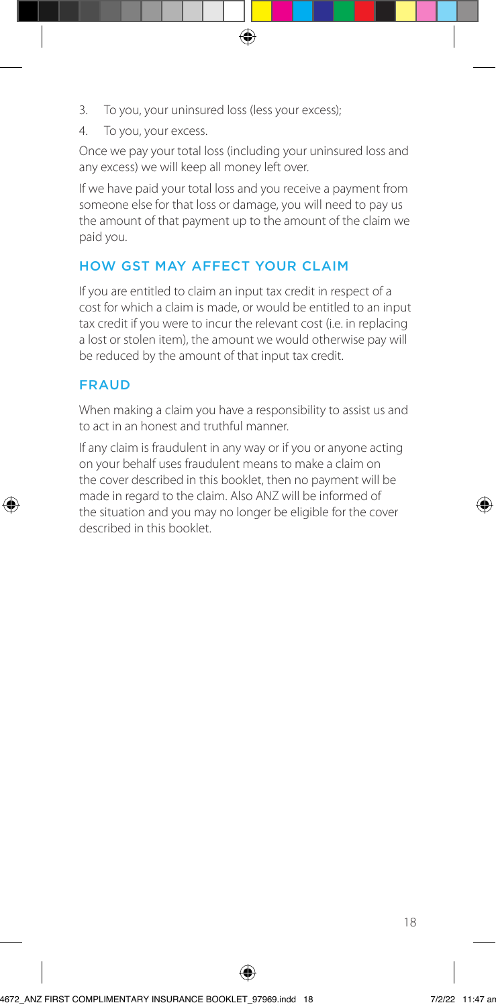- 3. To you, your uninsured loss (less your excess);
- 4. To you, your excess.

Once we pay your total loss (including your uninsured loss and any excess) we will keep all money left over.

If we have paid your total loss and you receive a payment from someone else for that loss or damage, you will need to pay us the amount of that payment up to the amount of the claim we paid you.

## HOW GST MAY AFFECT YOUR CLAIM

If you are entitled to claim an input tax credit in respect of a cost for which a claim is made, or would be entitled to an input tax credit if you were to incur the relevant cost (i.e. in replacing a lost or stolen item), the amount we would otherwise pay will be reduced by the amount of that input tax credit.

### FRAUD

When making a claim you have a responsibility to assist us and to act in an honest and truthful manner.

If any claim is fraudulent in any way or if you or anyone acting on your behalf uses fraudulent means to make a claim on the cover described in this booklet, then no payment will be made in regard to the claim. Also ANZ will be informed of the situation and you may no longer be eligible for the cover described in this booklet.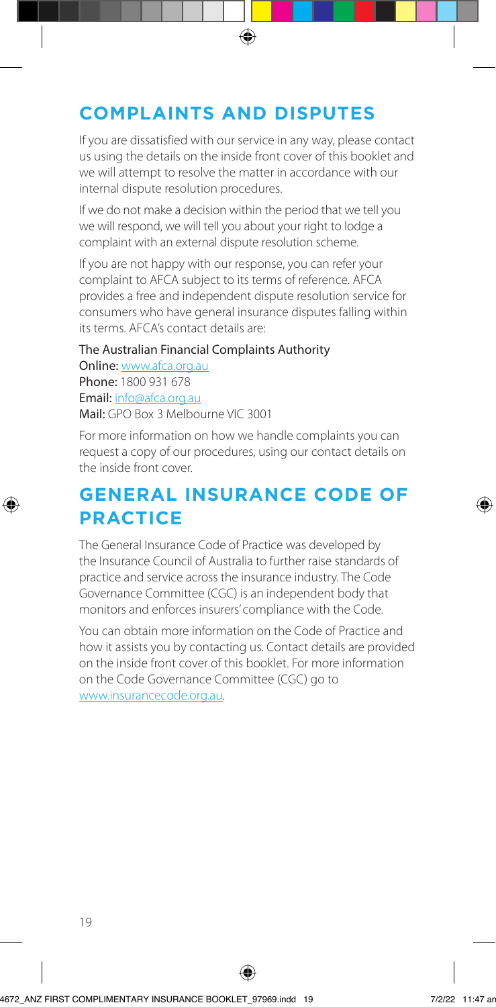# **COMPLAINTS AND DISPUTES**

If you are dissatisfied with our service in any way, please contact us using the details on the inside front cover of this booklet and we will attempt to resolve the matter in accordance with our internal dispute resolution procedures.

If we do not make a decision within the period that we tell you we will respond, we will tell you about your right to lodge a complaint with an external dispute resolution scheme.

If you are not happy with our response, you can refer your complaint to AFCA subject to its terms of reference. AFCA provides a free and independent dispute resolution service for consumers who have general insurance disputes falling within its terms. AFCA's contact details are:

The Australian Financial Complaints Authority Online: www.afca.org.au Phone: 1800 931 678 Email: info@afca.org.au Mail: GPO Box 3 Melbourne VIC 3001

For more information on how we handle complaints you can request a copy of our procedures, using our contact details on the inside front cover.

# **GENERAL INSURANCE CODE OF PRACTICE**

The General Insurance Code of Practice was developed by the Insurance Council of Australia to further raise standards of practice and service across the insurance industry. The Code Governance Committee (CGC) is an independent body that monitors and enforces insurers' compliance with the Code.

You can obtain more information on the Code of Practice and how it assists you by contacting us. Contact details are provided on the inside front cover of this booklet. For more information on the Code Governance Committee (CGC) go to www.insurancecode.org.au.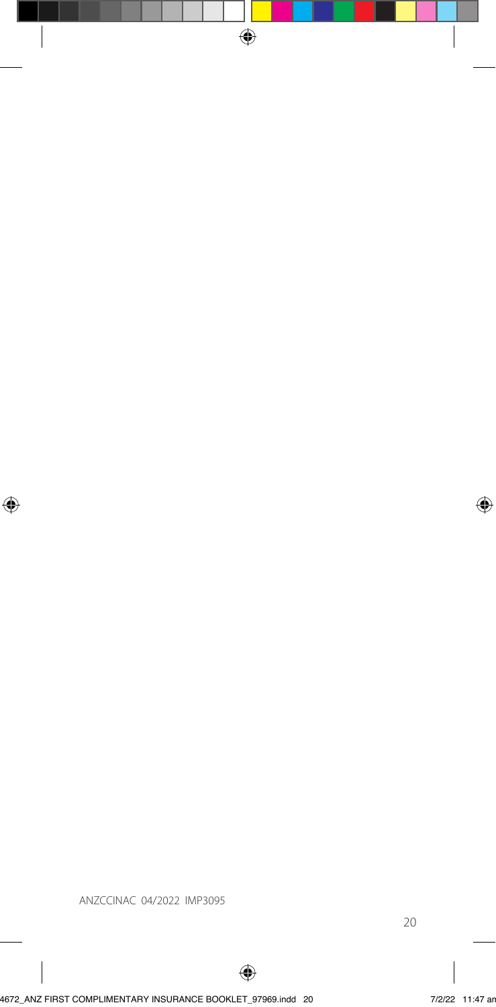ANZCCINAC 04/2022 IMP3095